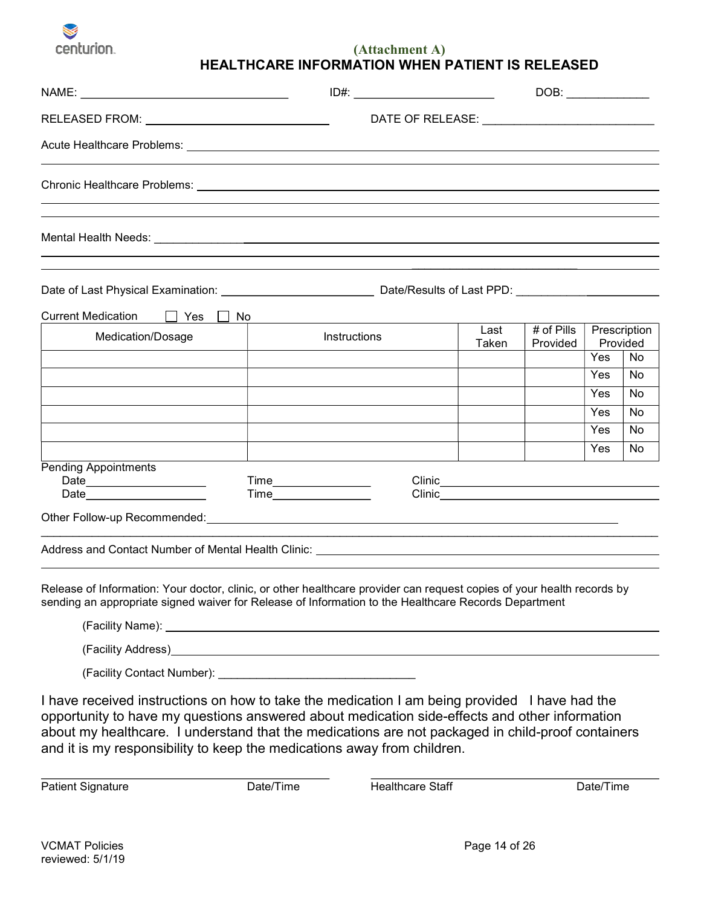

(Attachment A) HEALTHCARE INFORMATION WHEN PATIENT IS RELEASED

|                                                   |                                                                                                                                                                                                                                |                                                                                                                                                                                                                                | DOB:                     |     |                          |
|---------------------------------------------------|--------------------------------------------------------------------------------------------------------------------------------------------------------------------------------------------------------------------------------|--------------------------------------------------------------------------------------------------------------------------------------------------------------------------------------------------------------------------------|--------------------------|-----|--------------------------|
|                                                   |                                                                                                                                                                                                                                |                                                                                                                                                                                                                                |                          |     |                          |
|                                                   |                                                                                                                                                                                                                                |                                                                                                                                                                                                                                |                          |     |                          |
|                                                   |                                                                                                                                                                                                                                |                                                                                                                                                                                                                                |                          |     |                          |
|                                                   |                                                                                                                                                                                                                                |                                                                                                                                                                                                                                |                          |     |                          |
|                                                   |                                                                                                                                                                                                                                |                                                                                                                                                                                                                                |                          |     |                          |
| <b>Current Medication</b><br>$\Box$ Yes $\Box$ No |                                                                                                                                                                                                                                |                                                                                                                                                                                                                                |                          |     |                          |
| Medication/Dosage                                 | Instructions                                                                                                                                                                                                                   | Last<br>Taken                                                                                                                                                                                                                  | $#$ of Pills<br>Provided |     | Prescription<br>Provided |
|                                                   |                                                                                                                                                                                                                                |                                                                                                                                                                                                                                |                          | Yes | No                       |
|                                                   |                                                                                                                                                                                                                                |                                                                                                                                                                                                                                |                          | Yes | No                       |
|                                                   |                                                                                                                                                                                                                                |                                                                                                                                                                                                                                |                          | Yes | No                       |
|                                                   |                                                                                                                                                                                                                                |                                                                                                                                                                                                                                |                          | Yes | No                       |
|                                                   |                                                                                                                                                                                                                                |                                                                                                                                                                                                                                |                          | Yes | No                       |
|                                                   |                                                                                                                                                                                                                                |                                                                                                                                                                                                                                |                          | Yes | No                       |
| <b>Pending Appointments</b>                       |                                                                                                                                                                                                                                |                                                                                                                                                                                                                                |                          |     |                          |
|                                                   | Time___________________                                                                                                                                                                                                        | Clinic Committee of the Committee of the Committee of the Committee of the Committee of the Committee of the Committee of the Committee of the Committee of the Committee of the Committee of the Committee of the Committee o |                          |     |                          |
|                                                   | Other Follow-up Recommended: University of the Contract of the Contract of the Contract of the Contract of the Contract of the Contract of the Contract of the Contract of the Contract of the Contract of the Contract of the |                                                                                                                                                                                                                                |                          |     |                          |
|                                                   | <u> 1989 - Johann Stoff, amerikansk politiker (d. 1989)</u><br>Address and Contact Number of Mental Health Clinic: Andrew Management of Mental Address and Contact Number of                                                   |                                                                                                                                                                                                                                |                          |     |                          |
|                                                   | Release of Information: Your doctor, clinic, or other healthcare provider can request copies of your health records by<br>sending an appropriate signed waiver for Release of Information to the Healthcare Records Department |                                                                                                                                                                                                                                |                          |     |                          |
| (Facility Address)                                |                                                                                                                                                                                                                                |                                                                                                                                                                                                                                |                          |     |                          |

(Facility Contact Number):

I have received instructions on how to take the medication I am being provided I have had the opportunity to have my questions answered about medication side-effects and other information about my healthcare. I understand that the medications are not packaged in child-proof containers and it is my responsibility to keep the medications away from children.

Patient Signature **Date/Time** Date/Time **Healthcare Staff** Date/Time

 $\overline{a}$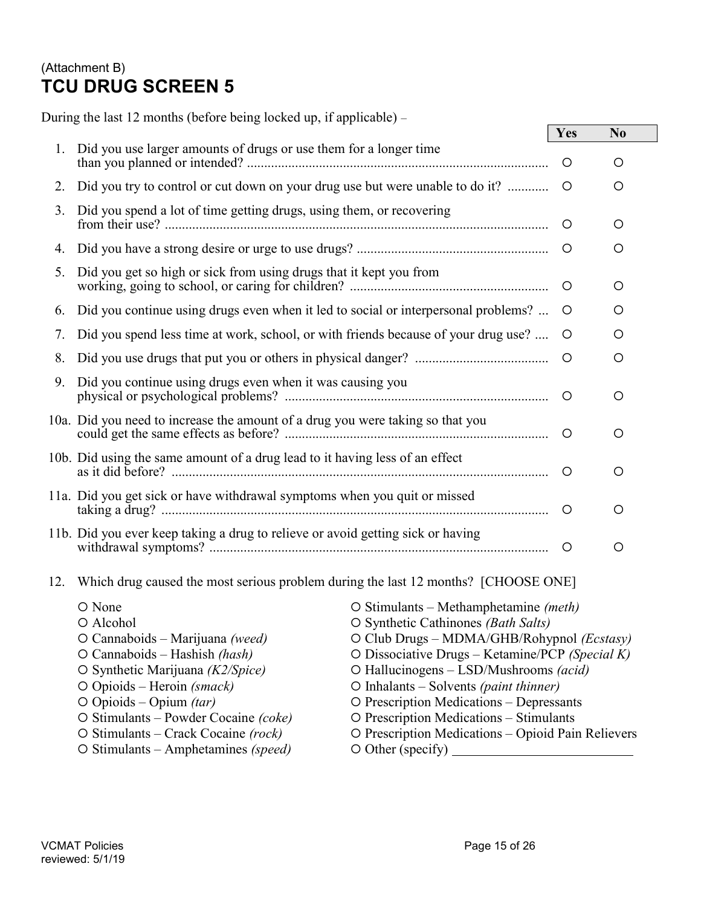# (Attachment B) TCU DRUG SCREEN 5

During the last 12 months (before being locked up, if applicable) – Yes No 1. Did you use larger amounts of drugs or use them for a longer time than you planned or intended? ........................................................................................ 2. Did you try to control or cut down on your drug use but were unable to do it? ............ 3. Did you spend a lot of time getting drugs, using them, or recovering from their use? ................................................................................................................ 4. Did you have a strong desire or urge to use drugs? ........................................................ 5. Did you get so high or sick from using drugs that it kept you from working, going to school, or caring for children? .......................................................... 6. Did you continue using drugs even when it led to social or interpersonal problems? ... 7. Did you spend less time at work, school, or with friends because of your drug use? .... O  $\qquad \circ$  8. Did you use drugs that put you or others in physical danger? ....................................... 9. Did you continue using drugs even when it was causing you physical or psychological problems? ............................................................................. 10a. Did you need to increase the amount of a drug you were taking so that you could get the same effects as before? ............................................................................. 10b. Did using the same amount of a drug lead to it having less of an effect as it did before? .............................................................................................................. 11a. Did you get sick or have withdrawal symptoms when you quit or missed taking a drug? ................................................................................................................. 11b. Did you ever keep taking a drug to relieve or avoid getting sick or having withdrawal symptoms? ................................................................................................... 12. Which drug caused the most serious problem during the last 12 months? [CHOOSE ONE]

 None Stimulants – Methamphetamine (meth) Alcohol Synthetic Cathinones (Bath Salts) O Cannaboids – Marijuana (weed) Club Drugs – MDMA/GHB/Rohypnol (*Ecstasy*) O Cannaboids – Hashish (hash)  $O$  Dissociative Drugs – Ketamine/PCP (Special K) Synthetic Marijuana (K2/Spice) Hallucinogens – LSD/Mushrooms (acid) O Opioids – Heroin (smack) C Inhalants – Solvents (paint thinner)  $O$  Opioids – Opium *(tar)*  $O$  Prescription Medications – Depressants  $\circ$  Stimulants – Powder Cocaine (coke)  $\circ$  Prescription Medications – Stimulants  $\circ$  Stimulants – Crack Cocaine (rock)  $\circ$  Prescription Medications – Opioid Pain Relievers  $\circ$  Stimulants – Amphetamines *(speed)*  $\circ$  Other (specify)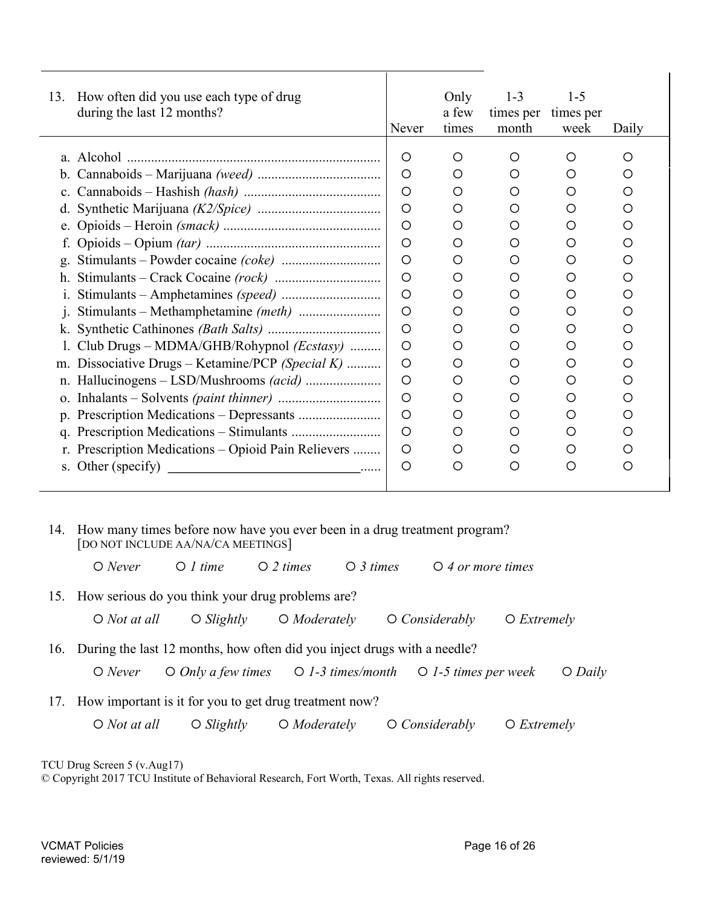| 13.         | How often did you use each type of drug<br>during the last 12 months? | Never   | Only<br>a few<br>times | $1 - 3$<br>times per times per<br>month | $1 - 5$<br>week | Daily |
|-------------|-----------------------------------------------------------------------|---------|------------------------|-----------------------------------------|-----------------|-------|
|             |                                                                       | O       | O                      | O                                       | O               | O     |
| $b_{\cdot}$ |                                                                       | $\circ$ | O                      | O                                       | O               | O     |
| $c_{\cdot}$ |                                                                       | O       | O                      | O                                       | ∩               | O     |
| d.          |                                                                       | $\circ$ | O                      | ∩                                       | O               | O     |
| e.          |                                                                       | O       | O                      | O                                       | O               | O     |
|             |                                                                       | $\circ$ | O                      | O                                       | O               | O     |
| g.          |                                                                       | $\circ$ | O                      | O                                       | O               | O     |
| h.          |                                                                       | O       | O                      | O                                       | O               | O     |
|             |                                                                       | O       | O                      | O                                       | O               | O     |
| j.          |                                                                       | O       | O                      | O                                       | O               | O     |
| k.          |                                                                       | O       | O                      | O                                       | O               | O     |
|             | Club Drugs - MDMA/GHB/Rohypnol (Ecstasy)                              | $\circ$ | O                      | O                                       | O               | O     |
| m.          | Dissociative Drugs – Ketamine/PCP (Special K)                         | O       | O                      | O                                       | O               | O     |
|             |                                                                       | O       | ◯                      | O                                       | ◯               | O     |
| 0.          |                                                                       | O       | O                      | O                                       | O               | O     |
|             |                                                                       | O       | O                      | O                                       | O               | O     |
|             |                                                                       | O       | O                      | O                                       | O               | O     |
|             | r. Prescription Medications – Opioid Pain Relievers                   | O       | O                      | O                                       | O               | O     |
|             | s. Other (specify)                                                    | O       | O                      | O                                       | O               | O     |
|             |                                                                       |         |                        |                                         |                 |       |

 14. How many times before now have you ever been in a drug treatment program? [DO NOT INCLUDE AA/NA/CA MEETINGS]

 $\bigcirc$  *Never*  $\bigcirc$  *1* time  $\bigcirc$  *2* times  $\bigcirc$  *3* times  $\bigcirc$  *4 or more times* 

15. How serious do you think your drug problems are?

 $\bigcirc$  Not at all  $\bigcirc$  Slightly  $\bigcirc$  Moderately  $\bigcirc$  Considerably  $\bigcirc$  Extremely

16. During the last 12 months, how often did you inject drugs with a needle?

O Never  $\bigcirc$  O  $Only$  a few times  $\bigcirc$  1-3 times/month  $\bigcirc$  1-5 times per week  $\bigcirc$  Daily

17. How important is it for you to get drug treatment now?

 $\bigcirc$  Not at all  $\bigcirc$  Slightly  $\bigcirc$  Moderately  $\bigcirc$  Considerably  $\bigcirc$  Extremely

TCU Drug Screen 5 (v.Aug17)

© Copyright 2017 TCU Institute of Behavioral Research, Fort Worth, Texas. All rights reserved.

l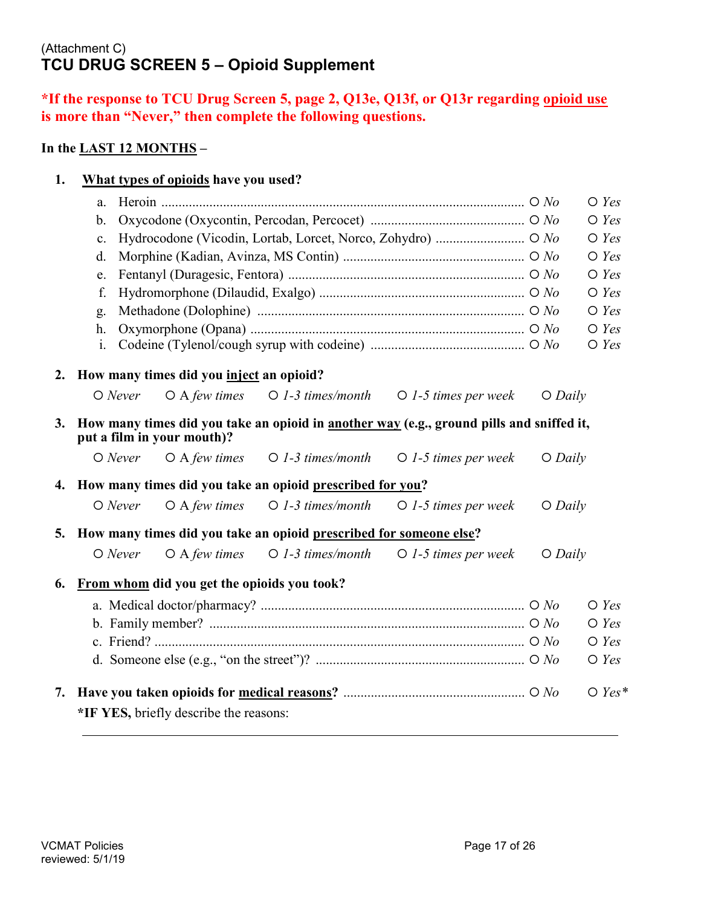# (Attachment C) TCU DRUG SCREEN 5 – Opioid Supplement

1. What types of opioids have you used?

# \*If the response to TCU Drug Screen 5, page 2, Q13e, Q13f, or Q13r regarding opioid use is more than "Never," then complete the following questions.

### In the LAST 12 MONTHS –

|    | a.             |                                             |                                                                    |                                                                                          |           | $\bigcirc$ Yes |
|----|----------------|---------------------------------------------|--------------------------------------------------------------------|------------------------------------------------------------------------------------------|-----------|----------------|
|    | b.             |                                             |                                                                    |                                                                                          |           | $\bigcirc$ Yes |
|    | c.             |                                             |                                                                    | Hydrocodone (Vicodin, Lortab, Lorcet, Norco, Zohydro)  O No                              |           | $\bigcirc$ Yes |
|    | d.             |                                             |                                                                    |                                                                                          |           | $O$ Yes        |
|    | e.             |                                             |                                                                    |                                                                                          |           | $O$ Yes        |
|    | f.             |                                             |                                                                    |                                                                                          |           | $O$ Yes        |
|    | g.             |                                             |                                                                    |                                                                                          |           | $\bigcirc$ Yes |
|    | h.             |                                             |                                                                    |                                                                                          |           | $\bigcirc$ Yes |
|    | $\mathbf{i}$ . |                                             |                                                                    |                                                                                          |           | $O$ Yes        |
| 2. |                | How many times did you inject an opioid?    |                                                                    |                                                                                          |           |                |
|    | $O$ Never      | $O$ A few times                             |                                                                    | $\bigcirc$ 1-3 times/month $\bigcirc$ 1-5 times per week                                 | $O$ Daily |                |
| 3. |                | put a film in your mouth)?                  |                                                                    | How many times did you take an opioid in another way (e.g., ground pills and sniffed it, |           |                |
|    | $O$ Never      | $O$ A few times                             | $\bigcirc$ 1-3 times/month                                         | $\bigcirc$ 1-5 times per week                                                            | $O$ Daily |                |
| 4. |                |                                             | How many times did you take an opioid prescribed for you?          |                                                                                          |           |                |
|    | $O$ Never      | $O$ A few times                             | $O$ 1-3 times/month                                                | $\bigcirc$ 1-5 times per week                                                            | $O$ Daily |                |
| 5. |                |                                             | How many times did you take an opioid prescribed for someone else? |                                                                                          |           |                |
|    | $O$ Never      | $O$ A few times                             | $O$ 1-3 times/month                                                | $\bigcirc$ 1-5 times per week                                                            | $O$ Daily |                |
| 6. |                | From whom did you get the opioids you took? |                                                                    |                                                                                          |           |                |
|    |                |                                             |                                                                    |                                                                                          |           | $\bigcirc$ Yes |
|    |                |                                             |                                                                    |                                                                                          |           | $O$ Yes        |
|    |                |                                             |                                                                    |                                                                                          |           | $O$ Yes        |
|    |                |                                             |                                                                    |                                                                                          |           | $O$ Yes        |
|    |                |                                             |                                                                    |                                                                                          |           |                |
| 7. |                |                                             |                                                                    |                                                                                          |           | $O$ Yes*       |
|    |                | *IF YES, briefly describe the reasons:      |                                                                    |                                                                                          |           |                |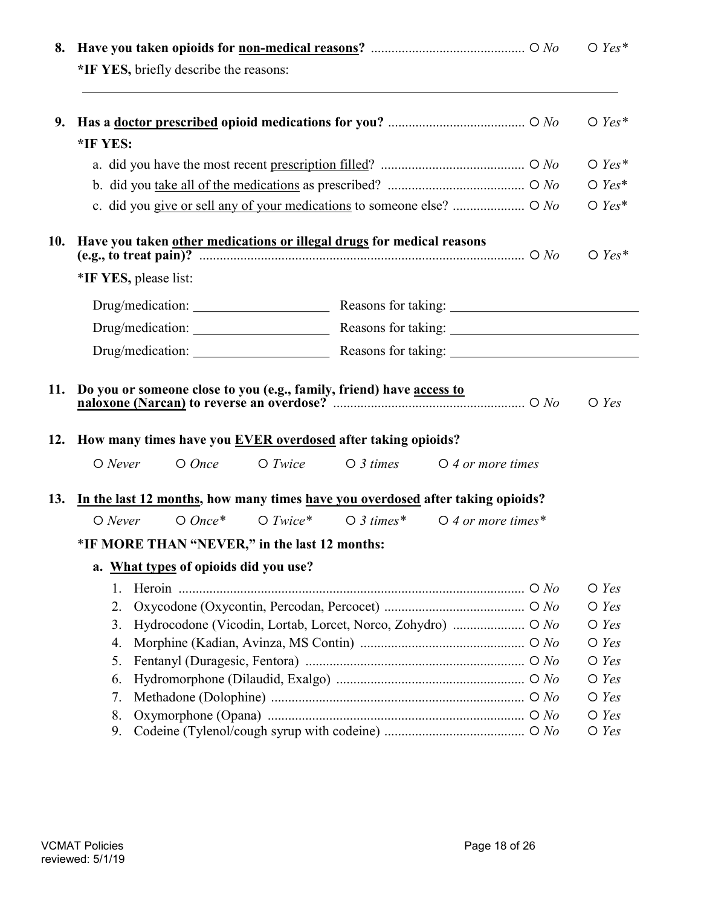| 8.  |                                                                                    |            |                    |                                                             | $O$ Yes*        |
|-----|------------------------------------------------------------------------------------|------------|--------------------|-------------------------------------------------------------|-----------------|
|     | *IF YES, briefly describe the reasons:                                             |            |                    |                                                             |                 |
| 9.  |                                                                                    |            |                    |                                                             | $\bigcirc$ Yes* |
|     | *IF YES:                                                                           |            |                    |                                                             |                 |
|     |                                                                                    |            |                    |                                                             | $\bigcirc$ Yes* |
|     |                                                                                    |            |                    |                                                             | $\bigcirc$ Yes* |
|     | c. did you give or sell any of your medications to someone else?  O No             |            |                    |                                                             | $O$ Yes*        |
| 10. | Have you taken other medications or illegal drugs for medical reasons              |            |                    |                                                             | $\bigcirc$ Yes* |
|     | *IF YES, please list:                                                              |            |                    |                                                             |                 |
|     |                                                                                    |            |                    |                                                             |                 |
|     |                                                                                    |            |                    |                                                             |                 |
|     |                                                                                    |            |                    |                                                             |                 |
| 12. | How many times have you <b>EVER</b> overdosed after taking opioids?                |            |                    |                                                             |                 |
|     | $O$ Never<br>$O$ Once                                                              | $O$ Twice  | $\bigcirc$ 3 times | $\bigcirc$ 4 or more times                                  |                 |
|     | 13. In the last 12 months, how many times have you overdosed after taking opioids? |            |                    |                                                             |                 |
|     | $O$ Once*<br>$O$ Never                                                             | $O$ Twice* |                    | $\bigcirc$ 3 times* $\bigcirc$ 4 or more times*             |                 |
|     | *IF MORE THAN "NEVER," in the last 12 months:                                      |            |                    |                                                             |                 |
|     | a. What types of opioids did you use?                                              |            |                    |                                                             |                 |
|     | 1.                                                                                 |            |                    |                                                             | $O$ Yes         |
|     | 2.                                                                                 |            |                    |                                                             | $O$ Yes         |
|     | 3.                                                                                 |            |                    | Hydrocodone (Vicodin, Lortab, Lorcet, Norco, Zohydro)  O No | $O$ Yes         |
|     | 4.                                                                                 |            |                    |                                                             | $O$ Yes         |
|     | 5.                                                                                 |            |                    |                                                             | $\bigcirc$ Yes  |
|     | 6.                                                                                 |            |                    |                                                             | $O$ Yes         |
|     | 7.                                                                                 |            |                    |                                                             | $\bigcirc$ Yes  |
|     | 8.                                                                                 |            |                    |                                                             | $\bigcirc$ Yes  |
|     | 9.                                                                                 |            |                    |                                                             | $\bigcirc$ Yes  |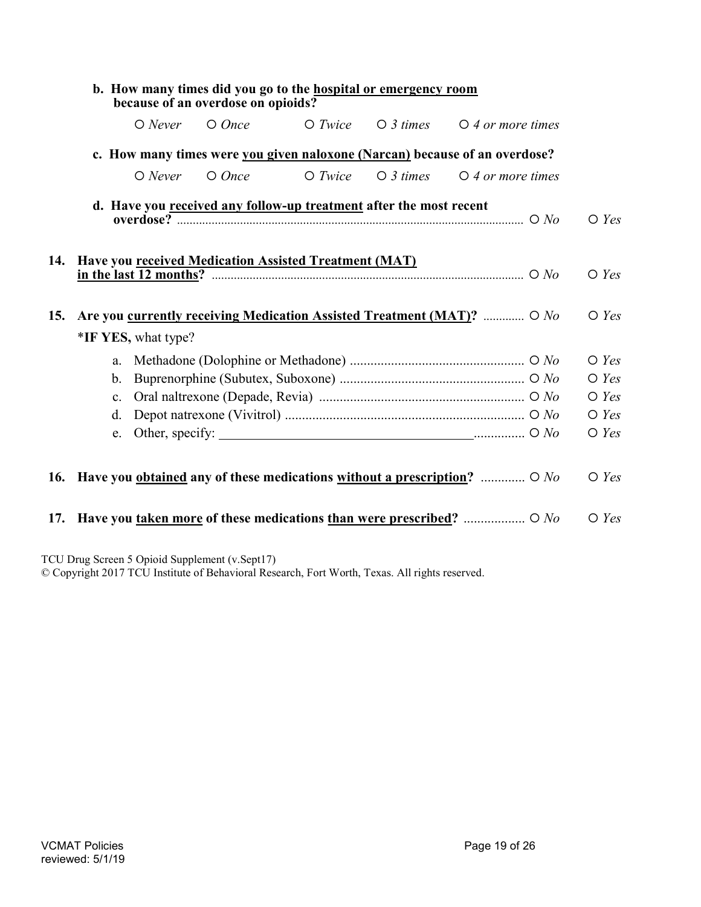|     |                                                       | b. How many times did you go to the <b>hospital</b> or emergency room<br>because of an overdose on opioids? |           |                    |                                                                                             |                |
|-----|-------------------------------------------------------|-------------------------------------------------------------------------------------------------------------|-----------|--------------------|---------------------------------------------------------------------------------------------|----------------|
|     | $O$ Never                                             | $O$ Once                                                                                                    | $O$ Twice | $\bigcirc$ 3 times | $\bigcirc$ 4 or more times                                                                  |                |
|     |                                                       |                                                                                                             |           |                    | c. How many times were you given naloxone (Narcan) because of an overdose?                  |                |
|     | $O$ Never                                             | $O$ Once                                                                                                    | $O$ Twice | $\bigcirc$ 3 times | $\bigcirc$ 4 or more times                                                                  |                |
|     |                                                       | d. Have you received any follow-up treatment after the most recent                                          |           |                    |                                                                                             | $\bigcirc$ Yes |
| 14. | Have you received Medication Assisted Treatment (MAT) |                                                                                                             |           |                    |                                                                                             | $\bigcirc$ Yes |
| 15. |                                                       |                                                                                                             |           |                    | Are you currently receiving Medication Assisted Treatment (MAT)?  O No                      | $\bigcirc$ Yes |
|     | *IF YES, what type?                                   |                                                                                                             |           |                    |                                                                                             |                |
|     | a.                                                    |                                                                                                             |           |                    |                                                                                             | $O$ Yes        |
|     | b.                                                    |                                                                                                             |           |                    |                                                                                             | $\bigcirc$ Yes |
|     | c.                                                    |                                                                                                             |           |                    |                                                                                             | $\bigcirc$ Yes |
|     | d.                                                    |                                                                                                             |           |                    |                                                                                             | $O$ Yes        |
|     | e.                                                    |                                                                                                             |           |                    |                                                                                             | $O$ Yes        |
|     |                                                       |                                                                                                             |           |                    | 16. Have you <u>obtained</u> any of these medications without a prescription? $\bigcirc$ No | $\bigcirc$ Yes |
|     |                                                       |                                                                                                             |           |                    | 17. Have you <u>taken more</u> of these medications than were prescribed? $O$ No            | $\bigcirc$ Yes |
|     | TCU Drug Screen 5 Opioid Supplement (v.Sept17)        |                                                                                                             |           |                    |                                                                                             |                |

© Copyright 2017 TCU Institute of Behavioral Research, Fort Worth, Texas. All rights reserved.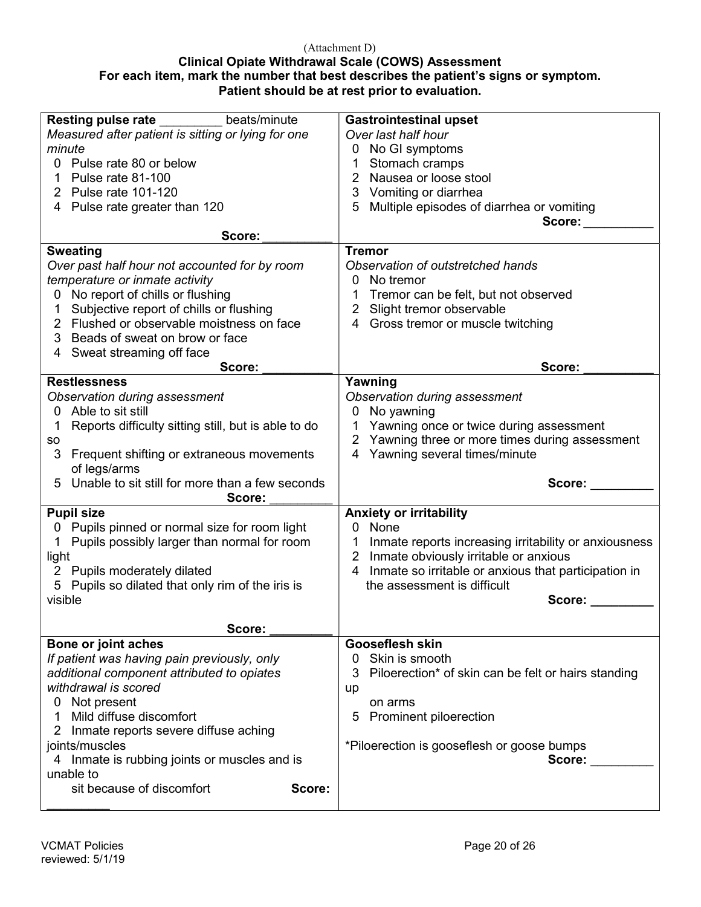#### (Attachment D)

### Clinical Opiate Withdrawal Scale (COWS) Assessment For each item, mark the number that best describes the patient's signs or symptom. Patient should be at rest prior to evaluation.

| <b>Resting pulse rate</b><br>beats/minute           | <b>Gastrointestinal upset</b>                              |
|-----------------------------------------------------|------------------------------------------------------------|
| Measured after patient is sitting or lying for one  | Over last half hour                                        |
| minute                                              | No GI symptoms<br>0                                        |
|                                                     |                                                            |
| 0 Pulse rate 80 or below                            | Stomach cramps                                             |
| Pulse rate 81-100                                   | Nausea or loose stool<br>2.                                |
| 2 Pulse rate 101-120                                | 3 Vomiting or diarrhea                                     |
| 4 Pulse rate greater than 120                       | Multiple episodes of diarrhea or vomiting<br>5             |
|                                                     | Score:                                                     |
|                                                     |                                                            |
| Score:                                              |                                                            |
| <b>Sweating</b>                                     | <b>Tremor</b>                                              |
| Over past half hour not accounted for by room       | Observation of outstretched hands                          |
| temperature or inmate activity                      | No tremor                                                  |
|                                                     |                                                            |
| No report of chills or flushing<br>0                | Tremor can be felt, but not observed                       |
| Subjective report of chills or flushing             | Slight tremor observable<br>2                              |
| 2 Flushed or observable moistness on face           | 4 Gross tremor or muscle twitching                         |
| Beads of sweat on brow or face<br>3                 |                                                            |
|                                                     |                                                            |
| Sweat streaming off face<br>4                       |                                                            |
| Score:                                              | Score:                                                     |
| <b>Restlessness</b>                                 | Yawning                                                    |
| Observation during assessment                       | Observation during assessment                              |
| Able to sit still<br>0.                             | No yawning<br>0                                            |
|                                                     |                                                            |
| Reports difficulty sitting still, but is able to do | Yawning once or twice during assessment<br>1               |
| so                                                  | Yawning three or more times during assessment<br>2         |
| 3<br>Frequent shifting or extraneous movements      | Yawning several times/minute<br>4                          |
| of legs/arms                                        |                                                            |
| Unable to sit still for more than a few seconds     |                                                            |
| 5                                                   | Score:                                                     |
|                                                     |                                                            |
| Score:                                              |                                                            |
| <b>Pupil size</b>                                   | <b>Anxiety or irritability</b>                             |
|                                                     | 0 None                                                     |
| 0 Pupils pinned or normal size for room light       |                                                            |
| Pupils possibly larger than normal for room<br>1    | Inmate reports increasing irritability or anxiousness<br>1 |
| light                                               | Inmate obviously irritable or anxious<br>2                 |
| 2 Pupils moderately dilated                         | Inmate so irritable or anxious that participation in<br>4  |
| 5 Pupils so dilated that only rim of the iris is    | the assessment is difficult                                |
|                                                     |                                                            |
| visible                                             | Score:                                                     |
|                                                     |                                                            |
| Score:                                              |                                                            |
| Bone or joint aches                                 | <b>Gooseflesh skin</b>                                     |
| If patient was having pain previously, only         | Skin is smooth<br>0                                        |
|                                                     | 3                                                          |
| additional component attributed to opiates          | Piloerection* of skin can be felt or hairs standing        |
| withdrawal is scored                                | up                                                         |
| Not present<br>0                                    | on arms                                                    |
| Mild diffuse discomfort<br>1                        | Prominent piloerection<br>5                                |
| 2 Inmate reports severe diffuse aching              |                                                            |
|                                                     |                                                            |
| joints/muscles                                      | *Piloerection is gooseflesh or goose bumps                 |
| 4 Inmate is rubbing joints or muscles and is        | Score:                                                     |
| unable to                                           |                                                            |
| sit because of discomfort<br>Score:                 |                                                            |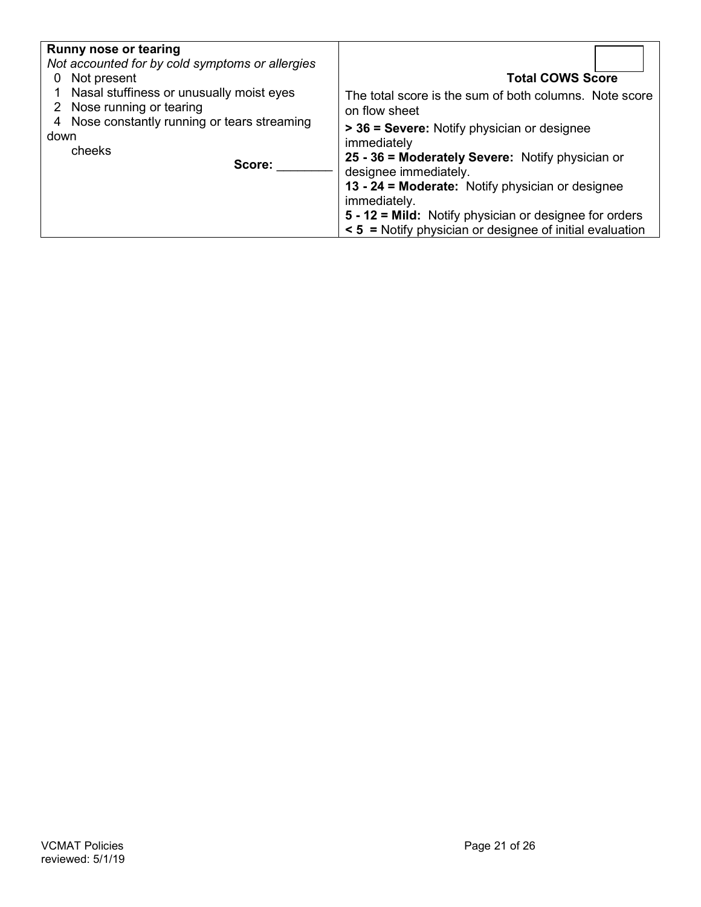| Runny nose or tearing<br>Not accounted for by cold symptoms or allergies<br>Not present<br>0<br>1 Nasal stuffiness or unusually moist eyes<br>2 Nose running or tearing<br>4 Nose constantly running or tears streaming<br>down<br>cheeks<br>Score: | <b>Total COWS Score</b><br>The total score is the sum of both columns. Note score<br>on flow sheet<br>> 36 = Severe: Notify physician or designee<br>immediately<br>25 - 36 = Moderately Severe: Notify physician or<br>designee immediately.<br>13 - 24 = Moderate: Notify physician or designee<br>immediately.<br>5 - 12 = Mild: Notify physician or designee for orders<br>$\leq$ 5 = Notify physician or designee of initial evaluation |
|-----------------------------------------------------------------------------------------------------------------------------------------------------------------------------------------------------------------------------------------------------|----------------------------------------------------------------------------------------------------------------------------------------------------------------------------------------------------------------------------------------------------------------------------------------------------------------------------------------------------------------------------------------------------------------------------------------------|
|-----------------------------------------------------------------------------------------------------------------------------------------------------------------------------------------------------------------------------------------------------|----------------------------------------------------------------------------------------------------------------------------------------------------------------------------------------------------------------------------------------------------------------------------------------------------------------------------------------------------------------------------------------------------------------------------------------------|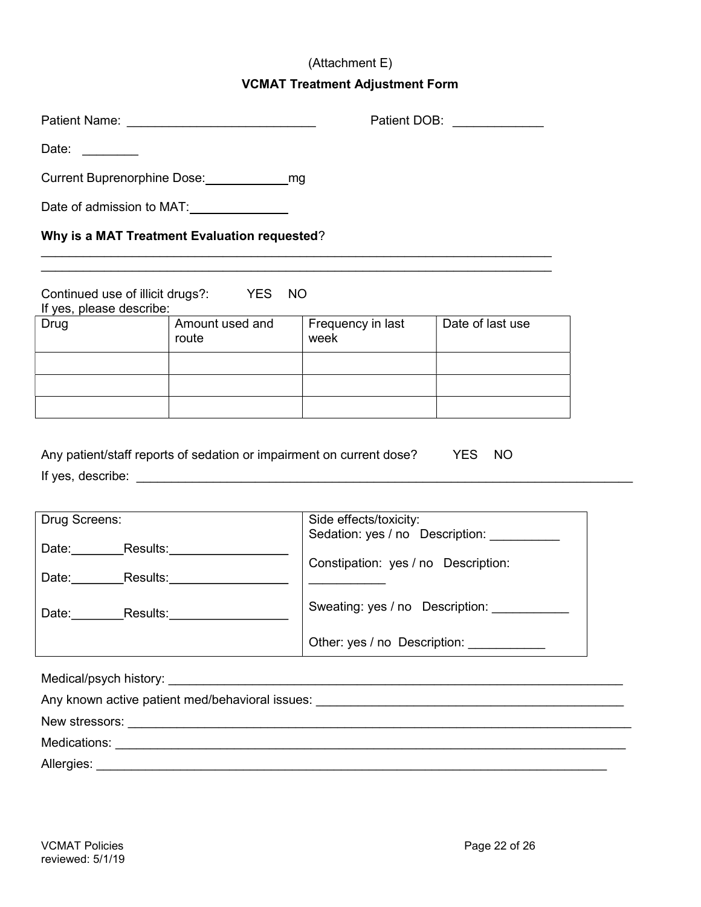### (Attachment E)

### VCMAT Treatment Adjustment Form

| Date: and the state of the state of the state of the state of the state of the state of the state of the state |                          |                                                                             |                                             |
|----------------------------------------------------------------------------------------------------------------|--------------------------|-----------------------------------------------------------------------------|---------------------------------------------|
|                                                                                                                |                          |                                                                             |                                             |
| Date of admission to MAT:                                                                                      |                          |                                                                             |                                             |
| Why is a MAT Treatment Evaluation requested?                                                                   |                          |                                                                             |                                             |
| Continued use of illicit drugs?: YES NO<br>If yes, please describe:                                            |                          |                                                                             |                                             |
| Drug                                                                                                           | Amount used and<br>route | Frequency in last<br>week                                                   | Date of last use                            |
|                                                                                                                |                          |                                                                             |                                             |
|                                                                                                                |                          |                                                                             |                                             |
|                                                                                                                |                          | Any patient/staff reports of sedation or impairment on current dose? YES NO |                                             |
| Drug Screens:                                                                                                  |                          | Side effects/toxicity:                                                      |                                             |
| Date:__________Results:______________________                                                                  |                          |                                                                             | Sedation: yes / no  Description: __________ |
| Date: Results: Results:                                                                                        |                          | Constipation: yes / no Description:                                         |                                             |
| Date: Results: Results:                                                                                        |                          |                                                                             | Sweating: yes / no  Description:            |
|                                                                                                                |                          |                                                                             | Other: yes / no Description: ____________   |
|                                                                                                                |                          |                                                                             |                                             |
|                                                                                                                |                          |                                                                             |                                             |
|                                                                                                                |                          |                                                                             |                                             |
|                                                                                                                |                          |                                                                             |                                             |
|                                                                                                                |                          |                                                                             |                                             |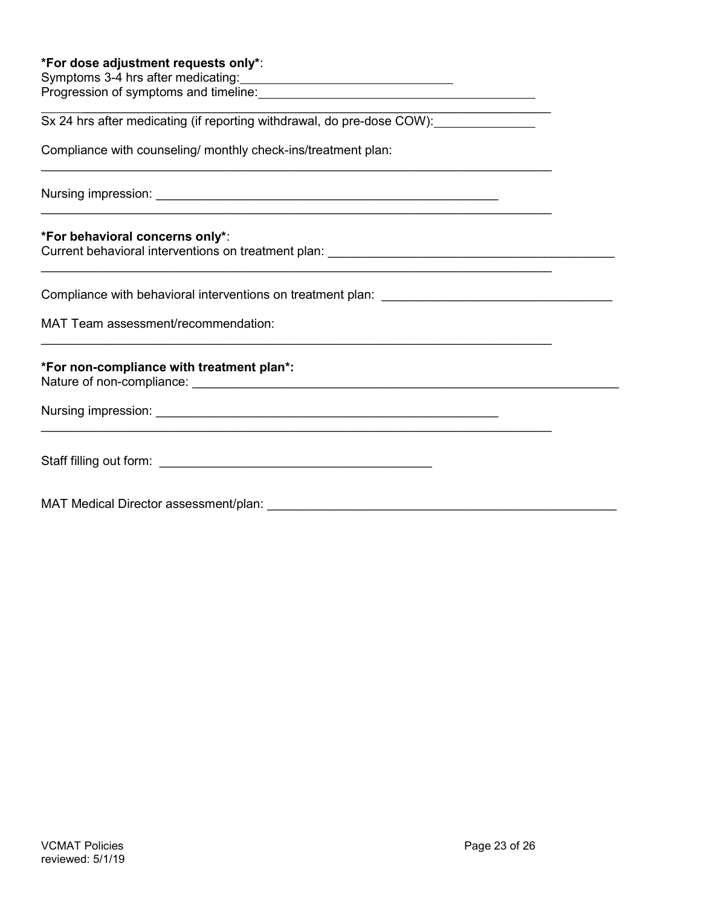#### \*For dose adjustment requests only\*:

Symptoms 3-4 hrs after medicating: Progression of symptoms and timeline:

 $\overline{\phantom{a}}$  , and the contribution of the contribution of the contribution of the contribution of the contribution of the contribution of the contribution of the contribution of the contribution of the contribution of the Sx 24 hrs after medicating (if reporting withdrawal, do pre-dose COW):

 $\mathcal{L}_\text{max}$  and  $\mathcal{L}_\text{max}$  and  $\mathcal{L}_\text{max}$  and  $\mathcal{L}_\text{max}$  and  $\mathcal{L}_\text{max}$  and  $\mathcal{L}_\text{max}$ 

 $\mathcal{L}_\text{max}$  and  $\mathcal{L}_\text{max}$  and  $\mathcal{L}_\text{max}$  and  $\mathcal{L}_\text{max}$  and  $\mathcal{L}_\text{max}$  and  $\mathcal{L}_\text{max}$ 

Compliance with counseling/ monthly check-ins/treatment plan:

Nursing impression: **We are all that the set of the set of the set of the set of the set of the set of the set of the set of the set of the set of the set of the set of the set of the set of the set of the set of the set o** 

#### \*For behavioral concerns only\*:

Current behavioral interventions on treatment plan:  $\blacksquare$ 

Compliance with behavioral interventions on treatment plan:

MAT Team assessment/recommendation:

### \*For non-compliance with treatment plan\*:

Nature of non-compliance: \_\_\_\_\_\_\_\_\_\_\_\_\_\_\_\_\_\_\_\_\_\_\_\_\_\_\_\_\_\_\_\_\_\_\_\_\_\_\_\_\_\_\_\_\_\_\_\_\_\_\_\_\_\_\_\_\_\_\_\_\_

Nursing impression: **We are all that the set of the set of the set of the set of the set of the set of the set of the set of the set of the set of the set of the set of the set of the set of the set of the set of the set o** 

| Staff filling out form: |  |
|-------------------------|--|
|                         |  |

MAT Medical Director assessment/plan: \_\_\_\_\_\_\_\_\_\_\_\_\_\_\_\_\_\_\_\_\_\_\_\_\_\_\_\_\_\_\_\_\_\_\_\_\_\_\_\_\_\_\_\_\_\_\_\_\_\_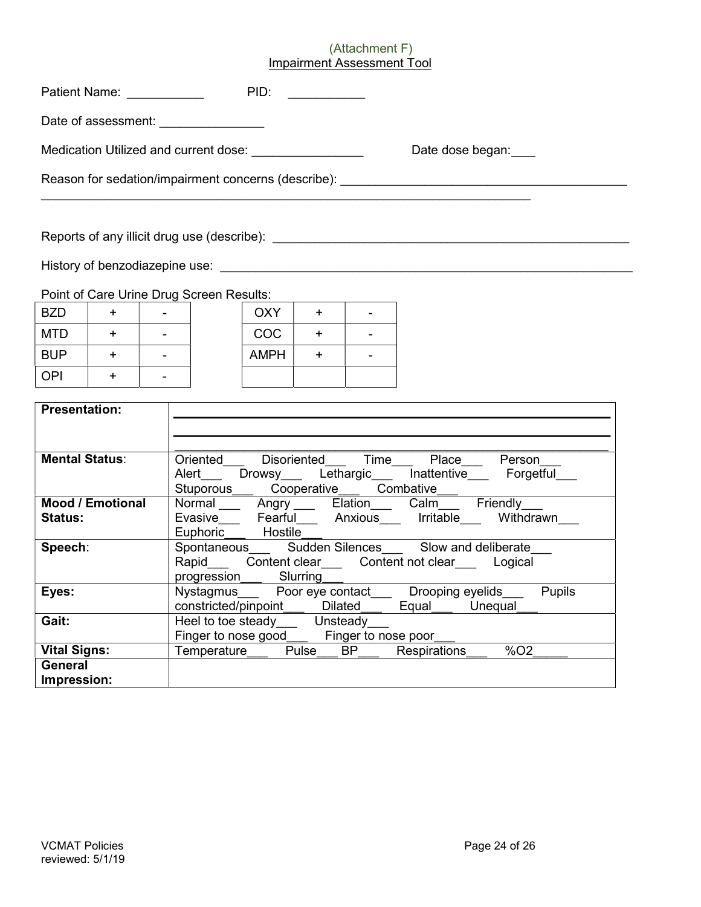### (Attachment F) Impairment Assessment Tool

|                       | Patient Name: ____________ |                                                                                                                                                                                                                                                                         |                                                                                         | PID:       | <u> 1989 - Jan Barat, prima prima prima prima prima prima prima prima prima prima prima prima prima prima prima p</u> |                |                                                                                                                        |                           |  |
|-----------------------|----------------------------|-------------------------------------------------------------------------------------------------------------------------------------------------------------------------------------------------------------------------------------------------------------------------|-----------------------------------------------------------------------------------------|------------|-----------------------------------------------------------------------------------------------------------------------|----------------|------------------------------------------------------------------------------------------------------------------------|---------------------------|--|
|                       |                            |                                                                                                                                                                                                                                                                         | Date of assessment: ________________                                                    |            |                                                                                                                       |                |                                                                                                                        |                           |  |
|                       |                            |                                                                                                                                                                                                                                                                         | Medication Utilized and current dose: Medication Utilized and current dose:             |            |                                                                                                                       |                | Date dose began:                                                                                                       |                           |  |
|                       |                            |                                                                                                                                                                                                                                                                         |                                                                                         |            |                                                                                                                       |                | Reason for sedation/impairment concerns (describe):                                                                    |                           |  |
|                       |                            |                                                                                                                                                                                                                                                                         |                                                                                         |            |                                                                                                                       |                |                                                                                                                        |                           |  |
|                       |                            |                                                                                                                                                                                                                                                                         | Point of Care Urine Drug Screen Results:                                                |            |                                                                                                                       |                |                                                                                                                        |                           |  |
| <b>BZD</b>            | $+$ $-$                    | $\sim$                                                                                                                                                                                                                                                                  |                                                                                         | OXY        | $+$                                                                                                                   | $\mathbf{r}$   |                                                                                                                        |                           |  |
| <b>MTD</b>            | $+$                        | $\sim$                                                                                                                                                                                                                                                                  |                                                                                         | <b>COC</b> | $+$                                                                                                                   | $\overline{a}$ |                                                                                                                        |                           |  |
| <b>BUP</b>            | $+$                        | $\mathbf{r}$                                                                                                                                                                                                                                                            |                                                                                         | AMPH       | $+$                                                                                                                   | $\blacksquare$ |                                                                                                                        |                           |  |
| <b>OPI</b>            | $+$                        |                                                                                                                                                                                                                                                                         |                                                                                         |            |                                                                                                                       |                |                                                                                                                        |                           |  |
| <b>Presentation:</b>  |                            |                                                                                                                                                                                                                                                                         |                                                                                         |            |                                                                                                                       |                |                                                                                                                        |                           |  |
| <b>Mental Status:</b> |                            |                                                                                                                                                                                                                                                                         |                                                                                         |            |                                                                                                                       |                | Oriented____ Disoriented____ Time____ Place____ Person_<br>Alert___ Drowsy___ Lethargic___ Inattentive___ Forgetful___ |                           |  |
| <b>Status:</b>        | <b>Mood / Emotional</b>    |                                                                                                                                                                                                                                                                         | Euphoric___ Hostile___                                                                  |            |                                                                                                                       |                | Stuporous Cooperative Combative —<br>Normal Angry Elation Calm Friendly<br>Evasive Fearful Anxious Irritable Withdrawn |                           |  |
| Speech:               |                            | Spontaneous________ Sudden Silences_______ Slow and deliberate<br>Rapid_____Content clear_____Content not clear______Logical<br>progression_____Slurring_______________Drooping eyelids______Pupils<br>Nystagmus______Poor eye contact_____Drooping eyelids______Pupils |                                                                                         |            |                                                                                                                       |                |                                                                                                                        |                           |  |
| Eyes:                 |                            |                                                                                                                                                                                                                                                                         |                                                                                         |            |                                                                                                                       |                | constricted/pinpoint___ Dilated___ Equal___ Unequal_                                                                   |                           |  |
| Gait:                 |                            |                                                                                                                                                                                                                                                                         | Heel to toe steady______ Unsteady____<br>Finger to nose good______ Finger to nose poor_ |            |                                                                                                                       |                |                                                                                                                        |                           |  |
| <b>Vital Signs:</b>   |                            |                                                                                                                                                                                                                                                                         | Temperature___                                                                          |            | Pulse BP                                                                                                              |                | Respirations                                                                                                           | $\sqrt{6}$ O <sub>2</sub> |  |
| General               |                            |                                                                                                                                                                                                                                                                         |                                                                                         |            |                                                                                                                       |                |                                                                                                                        |                           |  |

Impression: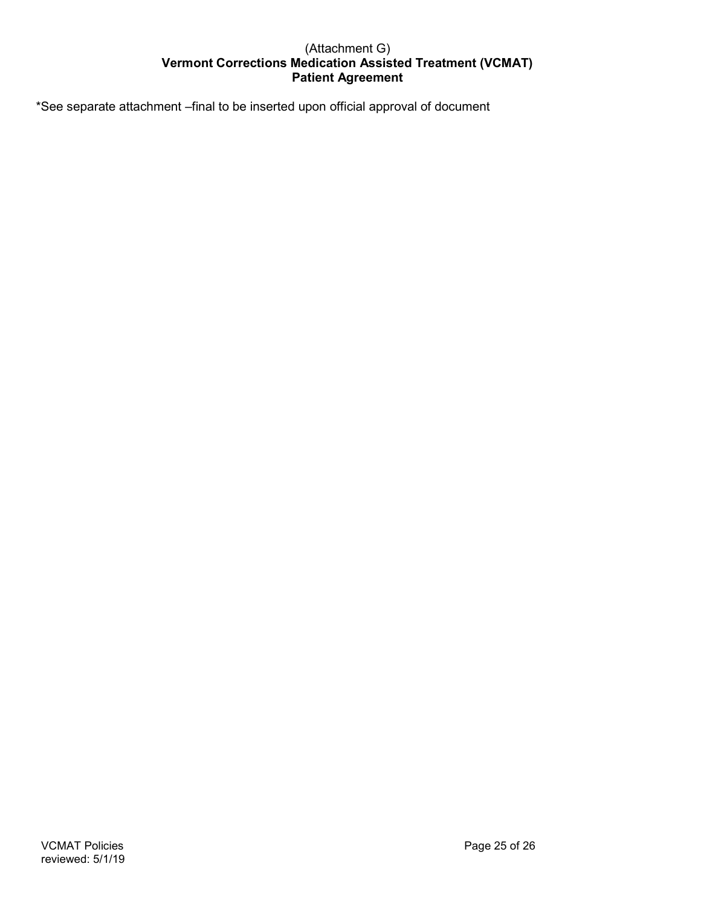### (Attachment G) Vermont Corrections Medication Assisted Treatment (VCMAT) Patient Agreement

\*See separate attachment –final to be inserted upon official approval of document